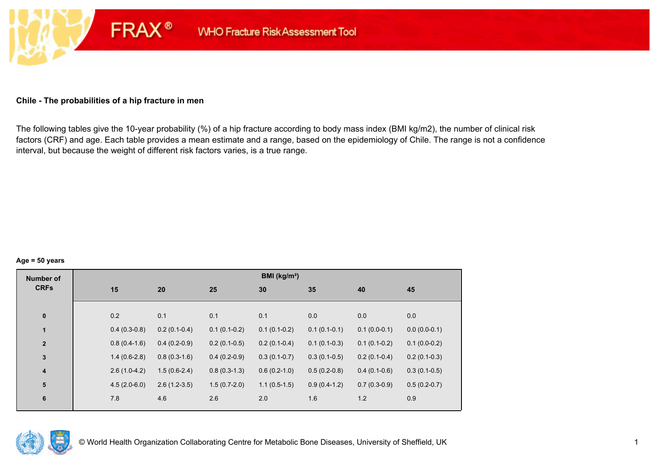#### **Chile - The probabilities of a hip fracture in men**

**FRAX®** 

The following tables give the 10-year probability (%) of a hip fracture according to body mass index (BMI kg/m2), the number of clinical risk factors (CRF) and age. Each table provides a mean estimate and a range, based on the epidemiology of Chile. The range is not a confidence interval, but because the weight of different risk factors varies, is a true range.

#### **Age = 50 years**

| <b>Number of</b> |    |                |                |                | BMI (kg/m <sup>2</sup> ) |                |                |                |
|------------------|----|----------------|----------------|----------------|--------------------------|----------------|----------------|----------------|
| <b>CRFs</b>      | 15 |                | 20             | 25             | 30                       | 35             | 40             | 45             |
|                  |    |                |                |                |                          |                |                |                |
| $\pmb{0}$        |    | 0.2            | 0.1            | 0.1            | 0.1                      | 0.0            | 0.0            | 0.0            |
| 1                |    | $0.4(0.3-0.8)$ | $0.2(0.1-0.4)$ | $0.1(0.1-0.2)$ | $0.1(0.1-0.2)$           | $0.1(0.1-0.1)$ | $0.1(0.0-0.1)$ | $0.0(0.0-0.1)$ |
| $\mathbf{2}$     |    | $0.8(0.4-1.6)$ | $0.4(0.2-0.9)$ | $0.2(0.1-0.5)$ | $0.2(0.1-0.4)$           | $0.1(0.1-0.3)$ | $0.1(0.1-0.2)$ | $0.1(0.0-0.2)$ |
| $\mathbf 3$      |    | $1.4(0.6-2.8)$ | $0.8(0.3-1.6)$ | $0.4(0.2-0.9)$ | $0.3(0.1-0.7)$           | $0.3(0.1-0.5)$ | $0.2(0.1-0.4)$ | $0.2(0.1-0.3)$ |
| 4                |    | $2.6(1.0-4.2)$ | $1.5(0.6-2.4)$ | $0.8(0.3-1.3)$ | $0.6(0.2-1.0)$           | $0.5(0.2-0.8)$ | $0.4(0.1-0.6)$ | $0.3(0.1-0.5)$ |
| 5                |    | $4.5(2.0-6.0)$ | $2.6(1.2-3.5)$ | $1.5(0.7-2.0)$ | $1.1(0.5-1.5)$           | $0.9(0.4-1.2)$ | $0.7(0.3-0.9)$ | $0.5(0.2-0.7)$ |
| 6                |    | 7.8            | 4.6            | 2.6            | 2.0                      | 1.6            | 1.2            | 0.9            |
|                  |    |                |                |                |                          |                |                |                |

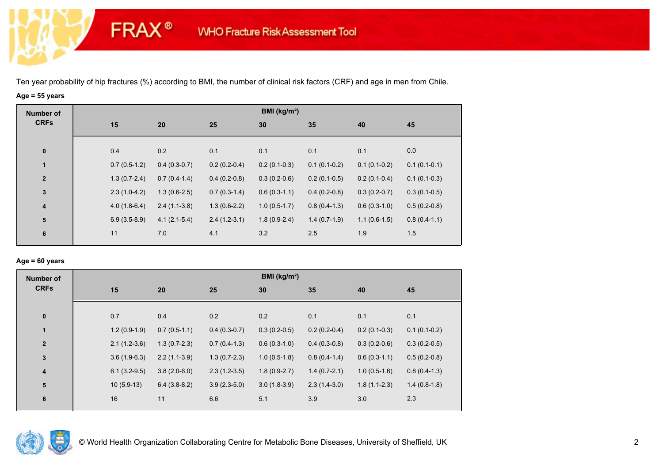**FRAX®** 

# **Age = 55 years**

| <b>Number of</b>        |                |                |                | BMI ( $kg/m2$ ) |                |                |                |
|-------------------------|----------------|----------------|----------------|-----------------|----------------|----------------|----------------|
| <b>CRFs</b>             | 15             | 20             | 25             | 30              | 35             | 40             | 45             |
|                         |                |                |                |                 |                |                |                |
| $\bf{0}$                | 0.4            | 0.2            | 0.1            | 0.1             | 0.1            | 0.1            | 0.0            |
| 1                       | $0.7(0.5-1.2)$ | $0.4(0.3-0.7)$ | $0.2(0.2-0.4)$ | $0.2(0.1-0.3)$  | $0.1(0.1-0.2)$ | $0.1(0.1-0.2)$ | $0.1(0.1-0.1)$ |
| $\overline{2}$          | $1.3(0.7-2.4)$ | $0.7(0.4-1.4)$ | $0.4(0.2-0.8)$ | $0.3(0.2-0.6)$  | $0.2(0.1-0.5)$ | $0.2(0.1-0.4)$ | $0.1(0.1-0.3)$ |
| $\mathbf 3$             | $2.3(1.0-4.2)$ | $1.3(0.6-2.5)$ | $0.7(0.3-1.4)$ | $0.6(0.3-1.1)$  | $0.4(0.2-0.8)$ | $0.3(0.2-0.7)$ | $0.3(0.1-0.5)$ |
| $\overline{\mathbf{4}}$ | $4.0(1.8-6.4)$ | $2.4(1.1-3.8)$ | $1.3(0.6-2.2)$ | $1.0(0.5-1.7)$  | $0.8(0.4-1.3)$ | $0.6(0.3-1.0)$ | $0.5(0.2-0.8)$ |
| ${\bf 5}$               | $6.9(3.5-8.9)$ | $4.1(2.1-5.4)$ | $2.4(1.2-3.1)$ | $1.8(0.9-2.4)$  | $1.4(0.7-1.9)$ | $1.1(0.6-1.5)$ | $0.8(0.4-1.1)$ |
| 6                       | 11             | 7.0            | 4.1            | 3.2             | 2.5            | 1.9            | 1.5            |
|                         |                |                |                |                 |                |                |                |

## **Age = 60 years**

| <b>Number of</b> |                |                |                | BMI ( $kg/m2$ ) |                |                |                |
|------------------|----------------|----------------|----------------|-----------------|----------------|----------------|----------------|
| <b>CRFs</b>      | 15             | 20             | 25             | 30              | 35             | 40             | 45             |
| $\pmb{0}$        | 0.7            | 0.4            | 0.2            | 0.2             | 0.1            | 0.1            | 0.1            |
| 1                | $1.2(0.9-1.9)$ | $0.7(0.5-1.1)$ | $0.4(0.3-0.7)$ | $0.3(0.2-0.5)$  | $0.2(0.2-0.4)$ | $0.2(0.1-0.3)$ | $0.1(0.1-0.2)$ |
| $\overline{2}$   | $2.1(1.2-3.6)$ | $1.3(0.7-2.3)$ | $0.7(0.4-1.3)$ | $0.6(0.3-1.0)$  | $0.4(0.3-0.8)$ | $0.3(0.2-0.6)$ | $0.3(0.2-0.5)$ |
| $\mathbf 3$      | $3.6(1.9-6.3)$ | $2.2(1.1-3.9)$ | $1.3(0.7-2.3)$ | $1.0(0.5-1.8)$  | $0.8(0.4-1.4)$ | $0.6(0.3-1.1)$ | $0.5(0.2-0.8)$ |
| 4                | $6.1(3.2-9.5)$ | $3.8(2.0-6.0)$ | $2.3(1.2-3.5)$ | $1.8(0.9-2.7)$  | $1.4(0.7-2.1)$ | $1.0(0.5-1.6)$ | $0.8(0.4-1.3)$ |
| 5                | $10(5.9-13)$   | $6.4(3.8-8.2)$ | $3.9(2.3-5.0)$ | $3.0(1.8-3.9)$  | $2.3(1.4-3.0)$ | $1.8(1.1-2.3)$ | $1.4(0.8-1.8)$ |
| 6                | 16             | 11             | 6.6            | 5.1             | 3.9            | 3.0            | 2.3            |

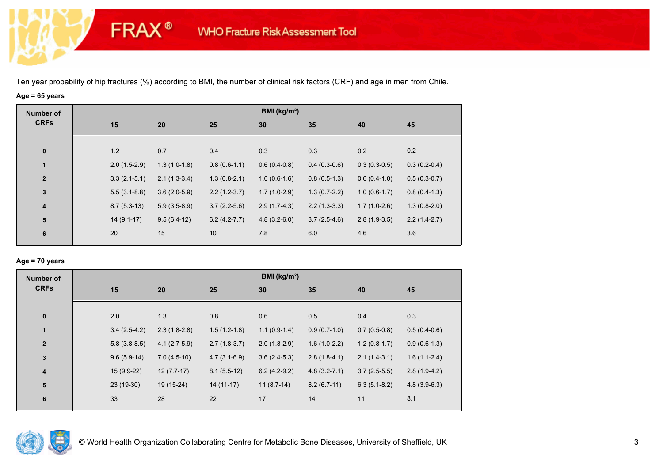**FRAX®** 

# **Age = 65 years**

| <b>Number of</b>        |     |                |                |                | BMI ( $kg/m2$ ) |                |                |                |
|-------------------------|-----|----------------|----------------|----------------|-----------------|----------------|----------------|----------------|
| <b>CRFs</b>             | 15  | 20             |                | 25             | 30              | 35             | 40             | 45             |
|                         |     |                |                |                |                 |                |                |                |
| $\bf{0}$                | 1.2 | 0.7            |                | 0.4            | 0.3             | 0.3            | 0.2            | 0.2            |
| 1                       |     | $2.0(1.5-2.9)$ | $1.3(1.0-1.8)$ | $0.8(0.6-1.1)$ | $0.6(0.4-0.8)$  | $0.4(0.3-0.6)$ | $0.3(0.3-0.5)$ | $0.3(0.2-0.4)$ |
| $\overline{2}$          |     | $3.3(2.1-5.1)$ | $2.1(1.3-3.4)$ | $1.3(0.8-2.1)$ | $1.0(0.6-1.6)$  | $0.8(0.5-1.3)$ | $0.6(0.4-1.0)$ | $0.5(0.3-0.7)$ |
| $\mathbf 3$             |     | $5.5(3.1-8.8)$ | $3.6(2.0-5.9)$ | $2.2(1.2-3.7)$ | $1.7(1.0-2.9)$  | $1.3(0.7-2.2)$ | $1.0(0.6-1.7)$ | $0.8(0.4-1.3)$ |
| $\overline{\mathbf{4}}$ |     | $8.7(5.3-13)$  | $5.9(3.5-8.9)$ | $3.7(2.2-5.6)$ | $2.9(1.7-4.3)$  | $2.2(1.3-3.3)$ | $1.7(1.0-2.6)$ | $1.3(0.8-2.0)$ |
| ${\bf 5}$               |     | $14(9.1-17)$   | $9.5(6.4-12)$  | $6.2(4.2-7.7)$ | $4.8(3.2-6.0)$  | $3.7(2.5-4.6)$ | $2.8(1.9-3.5)$ | $2.2(1.4-2.7)$ |
| 6                       | 20  | 15             |                | 10             | 7.8             | 6.0            | 4.6            | 3.6            |

## **Age = 70 years**

| <b>Number of</b> |                |                |                | BMI ( $kg/m2$ ) |                  |                |                |
|------------------|----------------|----------------|----------------|-----------------|------------------|----------------|----------------|
| <b>CRFs</b>      | 15             | 20             | 25             | 30              | 35               | 40             | 45             |
| $\pmb{0}$        | 2.0            | 1.3            | 0.8            | 0.6             | 0.5              | 0.4            | 0.3            |
| $\mathbf{1}$     | $3.4(2.5-4.2)$ | $2.3(1.8-2.8)$ | $1.5(1.2-1.8)$ | $1.1(0.9-1.4)$  | $0.9(0.7-1.0)$   | $0.7(0.5-0.8)$ | $0.5(0.4-0.6)$ |
| $\overline{2}$   | $5.8(3.8-8.5)$ | $4.1(2.7-5.9)$ | $2.7(1.8-3.7)$ | $2.0(1.3-2.9)$  | $1.6(1.0-2.2)$   | $1.2(0.8-1.7)$ | $0.9(0.6-1.3)$ |
| $\mathbf{3}$     | $9.6(5.9-14)$  | $7.0(4.5-10)$  | $4.7(3.1-6.9)$ | $3.6(2.4-5.3)$  | $2.8(1.8-4.1)$   | $2.1(1.4-3.1)$ | $1.6(1.1-2.4)$ |
| 4                | $15(9.9-22)$   | $12(7.7-17)$   | $8.1(5.5-12)$  | $6.2(4.2-9.2)$  | $4.8(3.2 - 7.1)$ | $3.7(2.5-5.5)$ | $2.8(1.9-4.2)$ |
| 5                | 23 (19-30)     | 19 (15-24)     | $14(11-17)$    | $11(8.7-14)$    | $8.2(6.7-11)$    | $6.3(5.1-8.2)$ | $4.8(3.9-6.3)$ |
| $\bf 6$          | 33             | 28             | 22             | 17              | 14               | 11             | 8.1            |

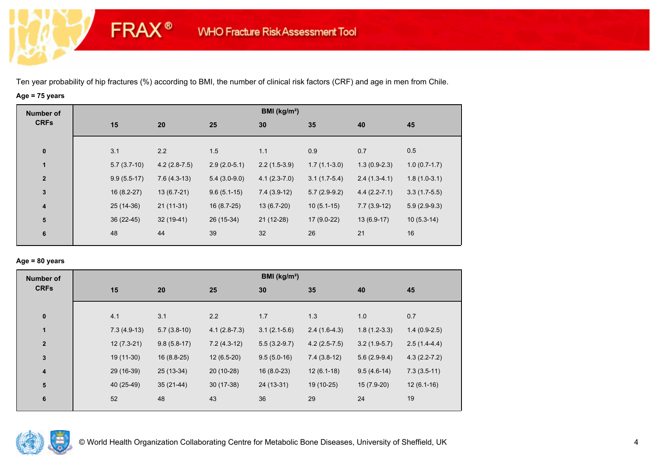**FRAX®** 

# **Age = 75 years**

| <b>Number of</b>        |               |                |                | BMI (kg/m <sup>2</sup> ) |                |                |                |
|-------------------------|---------------|----------------|----------------|--------------------------|----------------|----------------|----------------|
| <b>CRFs</b>             | 15            | 20             | 25             | 30                       | 35             | 40             | 45             |
| $\bf{0}$                | 3.1           | 2.2            | 1.5            | 1.1                      | 0.9            | 0.7            | 0.5            |
| $\mathbf{1}$            | $5.7(3.7-10)$ | $4.2(2.8-7.5)$ | $2.9(2.0-5.1)$ | $2.2(1.5-3.9)$           | $1.7(1.1-3.0)$ | $1.3(0.9-2.3)$ | $1.0(0.7-1.7)$ |
| $\overline{\mathbf{2}}$ | $9.9(5.5-17)$ | $7.6(4.3-13)$  | $5.4(3.0-9.0)$ | $4.1(2.3-7.0)$           | $3.1(1.7-5.4)$ | $2.4(1.3-4.1)$ | $1.8(1.0-3.1)$ |
| $\mathbf{3}$            | $16(8.2-27)$  | $13(6.7-21)$   | $9.6(5.1-15)$  | $7.4(3.9-12)$            | $5.7(2.9-9.2)$ | $4.4(2.2-7.1)$ | $3.3(1.7-5.5)$ |
| $\overline{\mathbf{4}}$ | $25(14-36)$   | $21(11-31)$    | $16(8.7-25)$   | $13(6.7-20)$             | $10(5.1-15)$   | $7.7(3.9-12)$  | $5.9(2.9-9.3)$ |
| ${\bf 5}$               | $36(22-45)$   | $32(19-41)$    | 26 (15-34)     | $21(12-28)$              | $17(9.0-22)$   | $13(6.9-17)$   | $10(5.3-14)$   |
| 6                       | 48            | 44             | 39             | 32                       | 26             | 21             | 16             |
|                         |               |                |                |                          |                |                |                |

## **Age = 80 years**

| <b>Number of</b>        |               |               |                | BMI ( $kg/m2$ ) |                |                |                  |  |
|-------------------------|---------------|---------------|----------------|-----------------|----------------|----------------|------------------|--|
| <b>CRFs</b>             | 15            | 20            | 25             | 30              | 35             | 40             | 45               |  |
|                         |               |               |                |                 |                |                |                  |  |
| $\bf{0}$                | 4.1           | 3.1           | 2.2            | 1.7             | 1.3            | 1.0            | 0.7              |  |
| $\mathbf{1}$            | $7.3(4.9-13)$ | $5.7(3.8-10)$ | $4.1(2.8-7.3)$ | $3.1(2.1-5.6)$  | $2.4(1.6-4.3)$ | $1.8(1.2-3.3)$ | $1.4(0.9-2.5)$   |  |
| $\overline{2}$          | $12(7.3-21)$  | $9.8(5.8-17)$ | $7.2(4.3-12)$  | $5.5(3.2-9.7)$  | $4.2(2.5-7.5)$ | $3.2(1.9-5.7)$ | $2.5(1.4-4.4)$   |  |
| $\mathbf{3}$            | 19 (11-30)    | $16(8.8-25)$  | $12(6.5-20)$   | $9.5(5.0-16)$   | $7.4(3.8-12)$  | $5.6(2.9-9.4)$ | $4.3(2.2 - 7.2)$ |  |
| $\overline{\mathbf{4}}$ | 29 (16-39)    | 25 (13-34)    | 20 (10-28)     | $16(8.0-23)$    | $12(6.1-18)$   | $9.5(4.6-14)$  | $7.3(3.5-11)$    |  |
| 5                       | 40 (25-49)    | $35(21-44)$   | $30(17-38)$    | 24 (13-31)      | 19 (10-25)     | $15(7.9-20)$   | $12(6.1-16)$     |  |
| 6                       | 52            | 48            | 43             | 36              | 29             | 24             | 19               |  |
|                         |               |               |                |                 |                |                |                  |  |